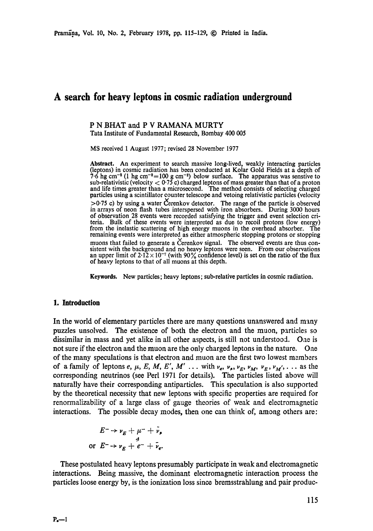# **A search for heavy leptons in cosmic radiation underground**

#### P N BHAT and P V RAMANA MURTY Tata Institute of Fundamental Research, Bombay 400 005

MS received 1 August 1977; revised 28 November 1977

Abstract. An experiment to search massive long-lived, weakly interacting particles (leptons) in cosmic radiation has been conducted at Kolar Gold Fields at a depth of 7.6 hg cm<sup>-2</sup> (1 hg cm<sup>-2</sup>=100 g cm<sup>-2</sup>) below surface. The apparatus was senstive to sub-relativistic (velocity  $<$  0.75 c) charged leptons of mass greater than that of a proton **and** life times greater than a microsecond. The method consists of selecting charged particles using a scintillator counter telescope and vetoing relativistic particles (velocity  $>0.75$  c) by using a water Cerenkov detector. The range of the particle is observed in arrays of neon flash tubes interspersed with iron absorbers. During 3000 hours of observation 28 events were recorded satisfying the trigger and event selection criteria. Bulk of these events were interpreted as due to recoil protons (low energy) from the inelastic scattering of high energy muons in the overhead absorber. The remaining events were interpreted as either atmospheric stopping protons or stopping muons that failed to generate a Čerenkov signal. The observed events are thus consistent with the background and no heavy leptons were seen. From our observations an upper limit of  $2.12 \times 10^{-7}$  (with 90% confidence level) is set on the ratio of the flux of heavy leptons to that of all muons at this depth.

**Keywords.** New particles; heavy leptons; sub-relative particles in cosmic radiation.

#### **1. Introduction**

In the world of elementary particles there are many questions unanswered and many puzzles unsolved. The existence of both the electron and the muon, particles so dissimilar in mass and yet alike in all other aspects, is still not understood. One is not sure if the electron and the muon are the only charged leptons in the nature. One of the many speculations is that electron and muon are the first two lowest members of a family of leptons e,  $\mu$ , E, M, E', M' ... with  $\nu_e$ ,  $\nu_s$ ,  $\nu_E$ ,  $\nu_M$ ,  $\nu_E$ ,  $\nu_M'$ ,... as the corresponding neutrinos (see Perl 1971 for details). The particles listed above will naturally have their corresponding antiparticles. This speculation is also supported by the theoretical necessity that new leptons with specific properties are required for renorrnalizability of a large class of gauge theories of weak and electromagnetic interactions. The possible decay modes, then one can think of, among others are:

$$
E^- \rightarrow \nu_E + \mu^- + \bar{\nu}_\mu
$$
  
or 
$$
E^- \rightarrow \nu_E + e^- + \bar{\nu}_e.
$$

These postulated heavy leptons presumably participate in weak and electromagnetic interactions. Being massive, the dominant electromagnetic interaction process the particles loose energy by, is the ionization loss since bremsstrahlung and pair produc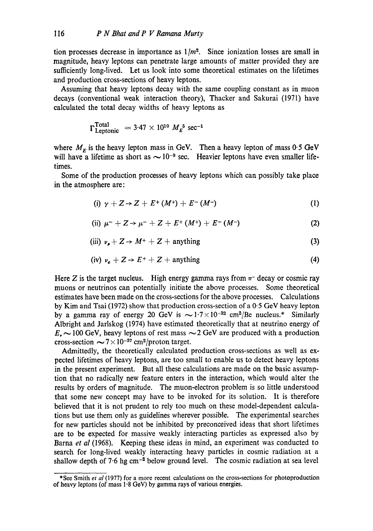tion processes decrease in importance as  $1/m<sup>2</sup>$ . Since ionization losses are small in magnitude, heavy leptons can penetrate large amounts of matter provided they are sufficiently long-lived. Let us look into some theoretical estimates on the lifetimes and production cross-sections of heavy leptons.

Assuming that heavy leptons decay with the same coupling constant as in muon decays (conventional weak interaction theory), Thacker and Sakurai (1971) have calculated the total decay widths of heavy leptons as

$$
\Gamma_{\text{Leptonic}}^{\text{Total}} = 3.47 \times 10^{10} M_E^5 \text{ sec}^{-1}
$$

where  $M_F$  is the heavy lepton mass in GeV. Then a heavy lepton of mass 0.5 GeV will have a lifetime as short as  $\sim 10^{-9}$  sec. Heavier leptons have even smaller lifetimes.

Some of the production processes of heavy leptons which can possibly take place in the atmosphere are:

(i) 
$$
\gamma + Z \rightarrow Z + E^+ (M^+) + E^- (M^-)
$$
 (1)

(ii) 
$$
\mu^- + Z \rightarrow \mu^- + Z + E^+ (M^+) + E^- (M^-)
$$
 (2)

(iii) 
$$
\nu_{\mu} + Z \rightarrow M^+ + Z + \text{anything}
$$
 (3)

$$
(iv) \ v_e + Z \rightarrow E^+ + Z + \text{anything} \tag{4}
$$

Here Z is the target nucleus. High energy gamma rays from  $\pi$ - decay or cosmic ray muons or neutrinos can potentially initiate the above processes. Some theoretical estimates have been made on the cross-sections for the above processes. Calculations by Kim and Tsai (1972) show that production cross-section of a 0.5 GeV heavy lepton by a gamma ray of energy 20 GeV is  $\sim 1.7 \times 10^{-32}$  cm<sup>2</sup>/Be nucleus.\* Similarly Albright and Jarlskog (1974) have estimated theoretically that at neutrino energy of  $E_{\bullet}$   $\sim$  100 GeV, heavy leptons of rest mass  $\sim$  2 GeV are produced with a production cross-section  $\sim 7 \times 10^{-37}$  cm<sup>2</sup>/proton target.

Admittedly, the theoretically calculated production cross-sections as well as expected lifetimes of heavy leptons, are too small to enable us to detect heavy leptons in the present experiment. But all these calculations are made on the basic assumption that no radically new feature enters in the interaction, which would alter the results by orders of magnitude. The muon-electron problem is so little understood that some new concept may have to be invoked for its solution. It is therefore believed that it is not prudent to rely too much on these model-dependent calculations but use them only as guidelines wherever possible. The experimental searches for new particles should not be inhibited by preconceived ideas that short lifetimes are to be expected for massive weakly interacting particles as expressed also by Barna *et al* (1968). Keeping these ideas in mind, an experiment was conducted to search for long-lived weakly interacting heavy particles in cosmic radiation at a shallow depth of  $7.6 \text{ hg cm}^{-2}$  below ground level. The cosmic radiation at sea level

<sup>\*</sup>See Smith *et al* (1977) for a more recent calculations on the cross-sections for photoproduction of heavy leptons (of mass  $1.8$  GeV) by gamma rays of various energies.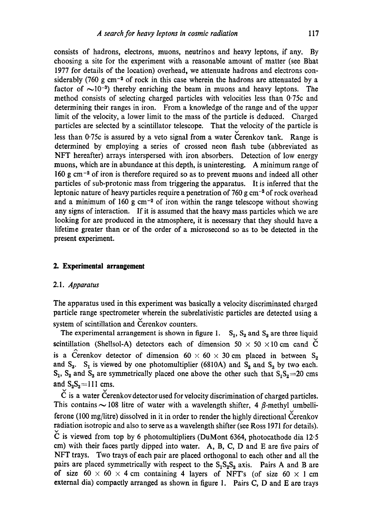consists of hadrons, electrons, muons, neutrinos and heavy leptons, if any. By choosing a site for the experiment with a reasonable amount of matter (see Bhat 1977 for details of the location) overhead, we attenuate hadrons and electrons considerably (760 g cm<sup>-2</sup> of rock in this case wherein the hadrons are attenuated by a factor of  $\sim 10^{-3}$ ) thereby enriching the beam in muons and heavy leptons. The method consists of selecting charged particles with velocities less than 0.75c and determining their ranges in iron. From a knowledge of the range and of the upper limit of the velocity, a lower limit to the mass of the particle is deduced. Charged particles are selected by a scintillator telescope. That the velocity of the particle is less than 0.75c is assured by a veto signal from a water Cerenkov tank. Range is determined by employing a series of crossed neon flash tube (abbreviated as NFT hereafter) arrays interspersed with iron absorbers. Detection of low energy muons, which are in abundance at this depth, is uninteresting. A minimum range of 160 g cm -2 of iron is therefore required so as to prevent muons and indeed all other particles of sub-protonic mass from triggering the apparatus. It is inferred that the leptonic nature of heavy particles require a penetration of 760 g  $cm<sup>-2</sup>$  of rock overhead and a minimum of 160 g  $cm^{-2}$  of iron within the range telescope without showing any signs of interaction. If it is assumed that the heavy mass particles which we are looking for are produced in the atmosphere, it is necessary that they should have a lifetime greater than or of the order of a microsecond so as to be detected in the present experiment.

# **2. Experimental arrangement**

### 2.1. *Apparatus*

The apparatus used in this experiment was basically a velocity discriminated charged particle range spectrometer wherein the subrelativistic particles are detected using a system of scintillation and Čerenkov counters.

The experimental arrangement is shown in figure 1.  $S_1$ ,  $S_2$  and  $S_3$  are three liquid scintillation (Shellsol-A) detectors each of dimension 50  $\times$  50  $\times$  10 cm cand  $\check{C}$ is a Cerenkov detector of dimension  $60 \times 60 \times 30$  cm placed in between  $S_2$ and  $S_3$ .  $S_1$  is viewed by one photomultiplier (6810A) and  $S_2$  and  $S_3$  by two each.  $S_1$ ,  $S_2$  and  $S_3$  are symmetrically placed one above the other such that  $S_1S_2=20$  cms and  $S_2S_3 = 111$  cms.

 $\check{C}$  is a water Cerenkov detector used for velocity discrimination of charged particles. This contains  $\sim$  108 litre of water with a wavelength shifter, 4  $\beta$ -methyl umbelliferone (100 mg/litre) dissolved in it in order to render the highly directional Cerenkov radiation isotropic and also to serve as a wavelength shifter (see Ross 1971 for details).  $\check{C}$  is viewed from top by 6 photomultipliers (DuMont 6364, photocathode dia 12.5 cm) with their faces partly dipped into water. A, B, C, D and E are five pairs of NFT trays. Two trays of each pair are placed orthogonal to each other and all the pairs are placed symmetrically with respect to the  $S_1S_2S_3$  axis. Pairs A and B are of size  $60 \times 60 \times 4$  cm containing 4 layers of NFT's (of size  $60 \times 1$  cm external dia) compactly arranged as shown in figure 1. Pairs C, D and E are trays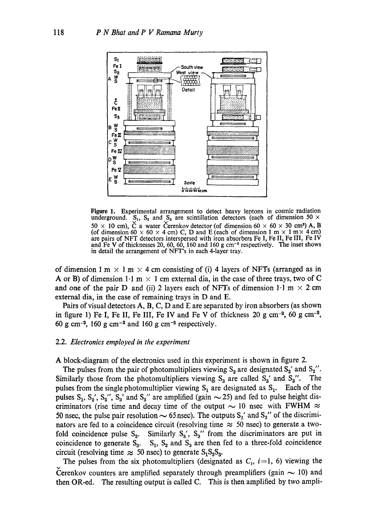

Figure 1. Experimental arrangement to detect heavy leptons in cosmic radiation underground.  $S_1$ ,  $S_2$  and  $S_3$  are scintillation detectors (each of dimension 50  $\times$ 50  $\times$  10 cm), C a water Cerenkov detector (of dimension 60  $\times$  60  $\times$  30 cm<sup>3</sup>) A, B (of dimension 60  $\times$  60  $\times$  4 cm) C, D and E (each of dimension 1 m  $\times$  1 m $\times$  4 cm) are pairs of NFT detectors interspersed with iron absorbers Fe I, Fe II, Fe III, Fe IV and Fe V of thicknesses 20, 60, 60, 160 and 160 g  $cm^{-2}$  respectively. The inset shows in detail the arrangement of NFT's in each 4-layer tray.

of dimension 1 m  $\times$  1 m  $\times$  4 cm consisting of (i) 4 layers of NFTs (arranged as in A or B) of dimension  $1 \cdot 1$  m  $\times$  1 cm external dia, in the case of three trays, two of C and one of the pair D and (ii) 2 layers each of NFTs of dimension  $1 \cdot 1$  m  $\times$  2 cm external dia, in the ease of remaining trays in D and E.

Pairs of visual detectors A, B, C, D and E are separated by iron absorbers (as shown in figure 1) Fe I, Fe II, Fe III, Fe IV and Fe V of thickness 20 g cm<sup>-2</sup>, 60 g cm<sup>-2</sup>, 60 g cm<sup>-2</sup>, 160 g cm<sup>-2</sup> and 160 g cm<sup>-2</sup> respectively.

## 2.2. *Electronics employed in the experiment*

A block-diagram of the electronics used in this experiment is shown in figure 2.

The pulses from the pair of photomultipliers viewing  $S_2$  are designated  $S_2'$  and  $S_2'$ . Similarly those from the photomultipliers viewing  $S_3$  are called  $S_3'$  and  $S_3''$ . The pulses from the single photomultiplier viewing  $S_1$  are designated as  $S_1$ . Each of the pulses  $S_1$ ,  $S_2'$ ,  $S_3'$ ,  $S_3'$  and  $S_3''$  are amplified (gain  $\sim$  25) and fed to pulse height discriminators (rise time and decay time of the output  $\sim$  10 nsec with FWHM  $\approx$ 50 nsec, the pulse pair resolution  $\sim$  65 nsec). The outputs S<sub>2</sub>' and S<sub>2</sub>'' of the discriminators are fed to a coincidence circuit (resolving time  $\approx$  50 nsec) to generate a twofold coincidence pulse  $S_2$ . Similarly  $S_3'$ ,  $S_3''$  from the discriminators are put in coincidence to generate  $S_3$ .  $S_1$ ,  $S_2$  and  $S_3$  are then fed to a three-fold coincidence circuit (resolving time  $\approx 50$  nsec) to generate  $S_1S_2S_3$ .

The pulses from the six photomultipliers (designated as  $C_i$ , *i*=1, 6) viewing the Čerenkov counters are amplified separately through preamplifiers (gain  $\sim$  10) and then OR-ed. The resulting output is called C. This is then amplified by two ampli-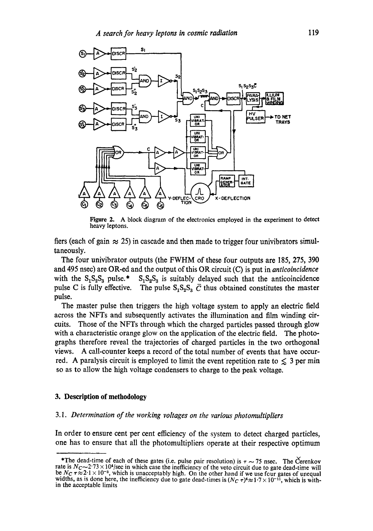

Figure 2. A block diagram of the electronics employed in the experiment to detect heavy leptons.

fiers (each of gain  $\approx$  25) in cascade and then made to trigger four univibrators simultaneously.

The four univibrator outputs (the FWHM of these four outputs are 185, 275, 390 and 495 nsec) are OR-ed and the output of this OR circuit (C) is put in *anticoincidence* with the  $S_1S_2S_3$  pulse.\*  $S_1S_2S_3$  is suitably delayed such that the anticoincidence pulse C is fully effective. The pulse  $S_1S_2S_3 \bar{C}$  thus obtained constitutes the master pulse.

The master pulse then triggers the high voltage system to apply an electric field across the NFTs and subsequently activates the illumination and film winding circuits. Those of the NFTs through which the charged particles passed through glow with a characteristic orange glow on the application of the electric field. The photographs therefore reveal the trajectories of charged particles in the two orthogonal views. A call-counter keeps a record of the total number of events that have occurred. A paralysis circuit is employed to limit the event repetition rate to  $\leq 3$  per min so as to allow the high voltage condensers to charge to the peak voltage.

#### **3. Description of methodology**

# *3.1. Determination of the working voltages on the various photomultipliers*

In order to ensure cent per cent efficiency of the system to detect charged particles, one has to ensure that all the photomultipliers operate at their respective optimum

<sup>\*</sup>The dead-time of each of these gates (i.e. pulse pair resolution) is  $\tau \sim 75$  nsec. The Cerenkov rate is  $N_c$   $\sim$  2.73  $\times$  10<sup>4</sup>/sec in which case the inefficiency of the veto circuit due to gate dead-time will be  $N_c \tau \approx 2.1 \times 10^{-3}$ , which is unacceptably high. On the other hand if we use four gates of unequal widths, as is done here, the inefficiency due to gate dead-times is  $(N_C \tau)^4 \approx 1.7 \times 10^{-11}$ , which is within the acceptable limits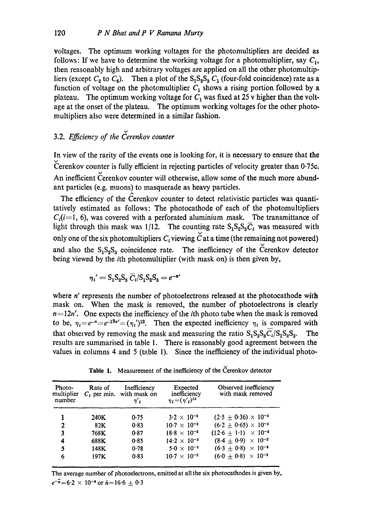voltages. The optimum working voltages for the photomultipliers are decided as follows: If we have to determine the working voltage for a photomultiplier, say  $C_1$ , then reasonably high and arbitrary voltages are applied on all the other photomultipliers (except  $C_2$  to  $C_6$ ). Then a plot of the  $S_1S_2S_3$   $C_1$  (four-fold coincidence) rate as a function of voltage on the photomultiplier  $C_1$  shows a rising portion followed by a plateau. The optimum working voltage for  $C_1$  was fixed at 25 v higher than the voltage at the onset of the plateau. The optimum working voltages for the other photomultipliers also were determined in a similar fashion.

# 3.2. *Efficiency of the Cerenkov counter*

In view of the rarity of the events one is looking for, it is necessary to ensure that the v Cerenkov counter is fully efficient in rejecting particles of velocity greater than 0.75c. An inefficient Cerenkov counter will otherwise, allow some of the much more abundant particles (e.g. muons) to masquerade as heavy particles. /k

The efficiency of the Cerenkov counter to detect relativistic particles was quantitatively estimated as follows: The photocathode of each of the photomultipliers  $C_i(i=1, 6)$ , was covered with a perforated aluminium mask. The transmittance of light through this mask was 1/12. The counting rate  $S_1S_2S_3\overline{C}_i$  was measured with only one of the six photomultipliers  $C_i$  viewing  $\check{C}$  at a time (the remaining not powered) and also the  $S_1S_2S_3$  coincidence rate. The inefficiency of the Cerenkov detector being viewed by the ith photomultiplier (with mask on) is then given by,

$$
\eta_i' = S_1 S_2 S_3 \overline{C}_i / S_1 S_2 S_3 = e^{-n'}
$$

where *n'* represents the number of photoelectrons released at the photocathode with mask on. When the mask is removed, the number of photoelectrons is clearly  $n=12n'$ . One expects the inefficiency of the *i*th photo tube when the mask is removed to be,  $\eta_i = e^{-n} = e^{-n^2n'} = (\eta_i)^{12}$ . Then the expected inefficiency  $\eta_i$  is compared with that observed by removing the mask and measuring the ratio  $S_1S_2S_3C_1/S_1S_2S_3$ . The results are summarised in table 1. There is reasonably good agreement between the values in columns 4 and 5 (table 1). Since the inefficiency of the individual photo-

| Photo-<br>multiplier<br>number | Rate of | Inefficiency<br>$C_i$ per min. with mask on<br>$\eta'$ | Expected<br>inefficiency<br>$\eta_i = (\eta'_{i})^{12}$ | Observed inefficiency<br>with mask removed |
|--------------------------------|---------|--------------------------------------------------------|---------------------------------------------------------|--------------------------------------------|
|                                |         |                                                        |                                                         |                                            |
|                                | 240K    | 0.75                                                   | $3.2 \times 10^{-2}$                                    | $(2.5 + 0.36) \times 10^{-2}$              |
| $\mathbf{2}$                   | 82K     | 0.83                                                   | $10.7 \times 10^{-2}$                                   | $(6.2 \pm 0.65) \times 10^{-2}$            |
| 3                              | 768K    | 0.87                                                   | $18.8 \times 10^{-2}$                                   | $(12.6 \pm 1.1) \times 10^{-2}$            |
| 4                              | 688K    | 0.85                                                   | $14.2 \times 10^{-2}$                                   | $(8.4 + 0.9) \times 10^{-2}$               |
| 5                              | 148K    | 0.78                                                   | $5.0 \times 10^{-2}$                                    | $(6.3 + 0.8) \times 10^{-2}$               |
| 6                              | 197K    | 0.83                                                   | $10.7 \times 10^{-2}$                                   | $(6.0 + 0.8) \times 10^{-2}$               |

Table 1. Measurement of the inefficiency of the Cerenkov detector

The average number of photoelectrons, emitted at all the six photoeathodes is given by,  $e^{-\overline{n}}=6.2 \times 10^{-8}$  or  $\overline{n}=16.6\pm 0.3$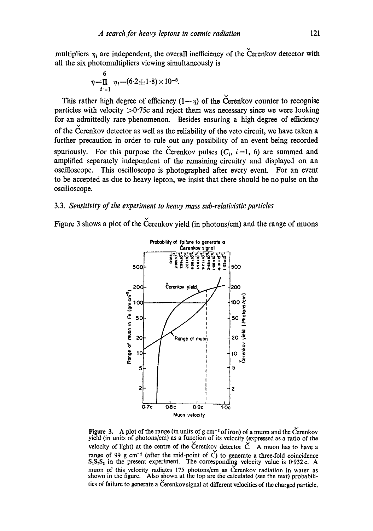multipliers  $\eta_i$  are independent, the overall inefficiency of the Cerenkov detector with all the six photomultipliers viewing simultaneously is

$$
\eta = \prod_{i=1}^{6} \eta_i = (6.2 \pm 1.8) \times 10^{-8}.
$$

This rather high degree of efficiency  $(1-\eta)$  of the Cerenkov counter to recognise particles with velocity  $>0.75c$  and reject them was necessary since we were looking for an admittedly rare phenomenon. Besides ensuring a high degree of efficiency of the Cerenkov detector as well as the reliability of the veto circuit, we have taken a further precaution in order to rule out any possibility of an event being recorded spuriously. For this purpose the Cerenkov pulses  $(C_i, i=1, 6)$  are summed and amplified separately independent of the remaining circuitry and displayed on an oscilloscope. This oscilloscope is photographed after every event. For an event to be accepted as due to heavy lepton, we insist that there should be no pulse on the oscilloscope.

# 3.3. *Sensitivity of the experiment to heavy mass sub.relativistic particles*

Figure 3 shows a plot of the Cerenkov yield (in photons/cm) and the range of muons



Figure 3. A plot of the range (in units of g cm<sup>-2</sup> of iron) of a muon and the Cerenkov yield (in units of photons/era) as a function of its velocity (expressed as a ratio of the velocity of light) at the centre of the Cerenkov detector  $\check{C}$ . A muon has to have a range of 99 g cm<sup>-2</sup> (after the mid-point of  $\check{C}$ ) to generate a three-fold coincidence  $S_1S_2S_3$  in the present experiment. The corresponding velocity value is 0.932 c. A muon of this velocity radiates 175 photons/cm as Cerenkov radiation in water as shown in the figure. Also shown at the top are the calculated (see the text) probabilities of failure to generate a Čerenkov signal at different velocities of the charged particle.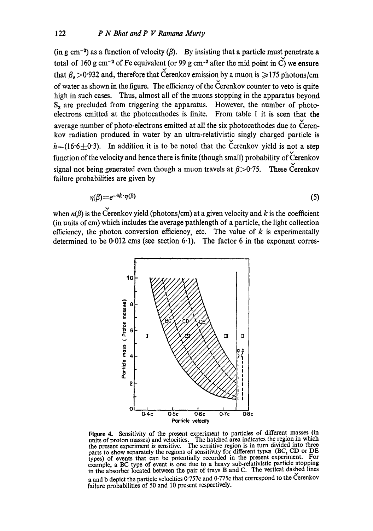(in g cm<sup>-2</sup>) as a function of velocity ( $\beta$ ). By insisting that a particle must penetrate a total of 160 g cm<sup>-2</sup> of Fe equivalent (or 99 g cm<sup>-2</sup> after the mid point in C) we ensure that  $\beta_{\rm r}$  >0.932 and, therefore that Cerenkov emission by a muon is  $\geq$ 175 photons/cm of water as shown in the figure. The efficiency of the Cerenkov counter to veto is quite high in such cases. Thus, almost all of the muons stopping in the apparatus beyond  $S_3$  are precluded from triggering the apparatus. However, the number of photoelectrons emitted at the photocathodes is finite. From table 1 it is seen that the average number of photo-electrons emitted at all the six photocathodes due to Cerenkov radiation produced in water by an ultra-relativistic singly charged particle is  $\bar{n}$  = (16.6  $\pm$  0.3). In addition it is to be noted that the Cerenkov yield is not a step function of the velocity and hence there is finite (though small) probability of Cerenkov signal not being generated even though a muon travels at  $\beta > 0.75$ . These Cerenkov failure probabilities are given by

$$
\eta(\beta) = e^{-6k \cdot \eta(\beta)}\tag{5}
$$

when  $n(\beta)$  is the Cerenkov yield (photons/cm) at a given velocity and k is the coefficient (in units of cm) which includes the average pathlength of a particle, the light collection efficiency, the photon conversion efficiency, etc. The value of  $k$  is experimentally determined to be  $0.012$  cms (see section  $6.1$ ). The factor 6 in the exponent corres-



Figure 4. Sensitivity of the present experiment to particles of different masses (in units of proton masses) and velocities. The hatched area indicates the region in which the present experiment is sensitive. The sensitive region is in turn divided into three parts to show separately the regions of sensitivity for different types (BC, CD or DE types) of events that can be potentially recorded in the present experiment. For example, a BC type of event is one due to a heavy sub-relativistic particle stopping in the absorber located between the pair of trays B and C. The vertical dashed lines a and b depict the particle velocities  $0.757c$  and  $0.775c$  that correspond to the Cerenkov failure probabilities of 50 and 10 present respectively.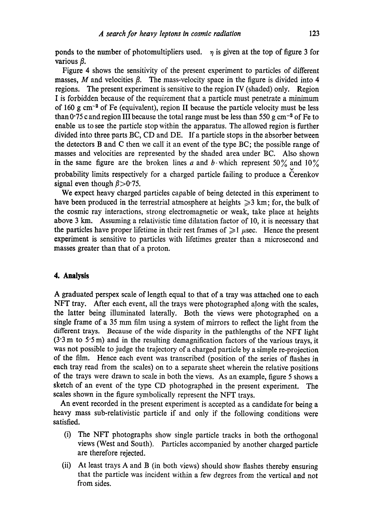ponds to the number of photomultipliers used.  $\eta$  is given at the top of figure 3 for various  $\beta$ .

Figure 4 shows the sensitivity of the present experiment to particles of different masses, M and velocities  $\beta$ . The mass-velocity space in the figure is divided into 4 regions. The present experiment is sensitive to the region IV (shaded) only. Region I is forbidden because of the requirement that a particle must penetrate a minimum of 160 g  $\text{cm}^{-2}$  of Fe (equivalent), region II because the particle velocity must be less than 0.75 c and region III because the total range must be less than 550 g cm<sup>-2</sup> of Fe to enable us to see the particle stop within the apparatus. The allowed region is further divided into three parts BC, CD and DE. If a particle stops in the absorber between the detectors B and C then we call it an event of the type BC; the possible range of masses and velocities are represented by the shaded area under BC. Also shown in the same figure are the broken lines a and b which represent 50% and 10% probability limits respectively for a charged particle failing to produce a Cerenkov signal even though  $\beta > 0.75$ .

We expect heavy charged particles capable of being detected in this experiment to have been produced in the terrestrial atmosphere at heights  $\geq 3$  km; for, the bulk of the cosmic ray interactions, strong electromagnetic or weak, take place at heights above 3 km. Assuming a relativistic time dilatation factor of 10, it is necessary that the particles have proper lifetime in their rest frames of  $\geq 1$   $\mu$ sec. Hence the present experiment is sensitive to particles with lifetimes greater than a microsecond and masses greater than that of a proton.

# **4. Analysis**

A graduated perspex scale of length equal to that of a tray was attached one to each NFT tray. After each event, all the trays were photographed along with the scales, the latter being illuminated laterally. Both the views were photographed on a single frame of a 35 mm film using a system of mirrors to reflect the light from the different trays. Because of the wide disparity in the pathlengths of the NFT light  $(3.3 \text{ m to } 5.5 \text{ m})$  and in the resulting demagnification factors of the various trays, it was not possible to judge the trajectory of a charged particle by a simple re-projection of the film. Hence each event was transcribed (position of the series of flashes in each tray read from the scales) on to a separate sheet wherein the relative positions of the trays were drawn to scale in both the views. As an example, figure 5 shows a sketch of an event of the type CD photographed in the present experiment. The scales shown in the figure symbolically represent the NFT trays.

An event recorded in the present experiment is accepted as a candidate for being a heavy mass sub-relativistic particle if and only if the following conditions were satisfied.

- (i) The NFT photographs show single particle tracks in both the orthogonal views (West and South). Particles accompanied by another charged particle are therefore rejected.
- (ii) At least trays A and B (in both views) should show flashes thereby ensuring that the particle was incident within a few degrees from the vertical and not from sides.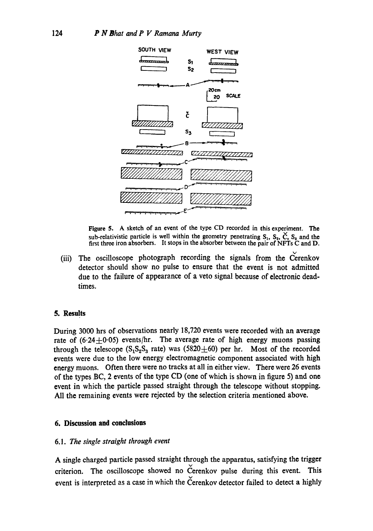

**Figure** 5. A sketch of an event of the type CD recorded in this experiment. The sub-relativistic particle is well within the geometry penetrating  $S_1$ ,  $S_2$ ,  $\dot{C}$ ,  $S_3$  and the first three iron absorbers. It stops in the absorber between the pair of NFTs C and D.

(iii) The oscilloscope photograph recording the signals from the Cerenkov detector should show no pulse to ensure that the event is not admitted due to the failure of appearance of a veto signal because of electronic deadtimes.

## **5. Results**

During 3000 hrs of observations nearly 18,720 events were recorded with an average rate of  $(6.24 \pm 0.05)$  events/hr. The average rate of high energy muons passing through the telescope  $(S_1S_2S_3$  rate) was (5820 $\pm$ 60) per hr. Most of the recorded events were due to the low energy electromagnetic component associated with high energy muons. Often there were no tracks at all in either view. There were 26 events of the types BC, 2 events of the type CD (one of which is shown in figure 5) and one event in which the particle passed straight through the telescope without stopping. All the remaining events were rejected by the selection criteria mentioned above.

# **6. Discussion and conclusions**

## *6.1. The single straight through event*

A single charged particle passed straight through the apparatus, satisfying the trigger criterion. The oscilloscope showed no Cerenkov pulse during this event. This event is interpreted as a case in which the Cerenkov detector failed to detect a highly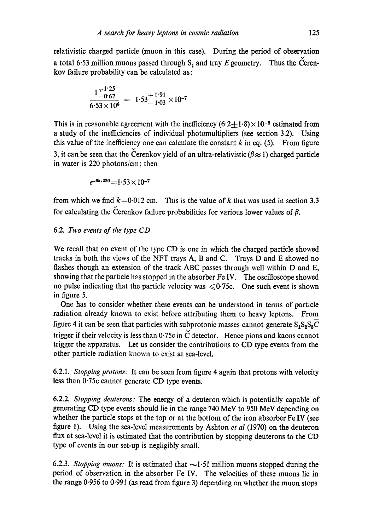relativistic charged particle (muon in this case). During the period of observation a total 6.53 million muons passed through  $S_1$  and tray E geometry. Thus the Cerenkov failure probability can be calculated as:

$$
\frac{1^{+1.25}}{6.53\times10^6} = 1.53^{+1.91}_{-1.03}\times10^{-7}
$$

This is in reasonable agreement with the inefficiency  $(6.2+1.8)\times 10^{-8}$  estimated from a study of the inefficiencies of individual photomultipliers (see section 3.2). Using this value of the inefficiency one can calculate the constant  $k$  in eq. (5). From figure 3, it can be seen that the Cerenkov yield of an ultra-relativistic ( $\beta \approx 1$ ) charged particle in water is 220 photons/cm; then

$$
e^{-6k \cdot 220} = 1.53 \times 10^{-7}
$$

from which we find  $k=0.012$  cm. This is the value of k that was used in section 3.3 for calculating the Cerenkov failure probabilities for various lower values of  $\beta$ .

# 6.2• *Two events of the type CD*

We recall that an event of the type CD is one in which the charged particle showed tracks in both the views of the NFT trays A, B and C. Trays D and E showed no flashes though an extension of the track ABC passes through well within D and E, showing that the particle has stopped in the absorber Fe IV. The oscilloscope showed no pulse indicating that the particle velocity was  $\leq 0.75c$ . One such event is shown in figure 5.

One has to consider whether these events can be understood in terms of particle radiation already known to exist before attributing them to heavy leptons. From figure 4 it can be seen that particles with subprotonic masses cannot generate  $S_1S_2S_3\overline{C}$ trigger if their velocity is less than  $0.75c$  in  $\check{C}$  detector. Hence pions and kaons cannot trigger the apparatus. Let us consider the contributions to CD type events from the other particle radiation known to exist at sea-level.

6.2.1. *Stopping protons:* It can be seen from figure 4 again that protons with velocity less than 0.75c cannot generate CD type events.

6.2.2. *Stopping deuterons:* The energy of a deuteron which is potentially capable of generating CD type events should lie in the range 740 MeV to 950 MeV depending on whether the particle stops at the top or at the bottom of the iron absorber Fe IV (see figure 1). Using the sea-level measurements by Ashton *et al* (1970) on the deuteron flux at sea-level it is estimated that the contribution by stopping deuterons to the CD type of events in our set-up is negligibly small.

6.2.3. *Stopping muons:* It is estimated that  $\sim$ 1.51 million muons stopped during the period of observation in the absorber Fe IV. The velocities of these muons lie in the range 0.956 to 0.991 (as read from figure 3) depending on whether the muon stops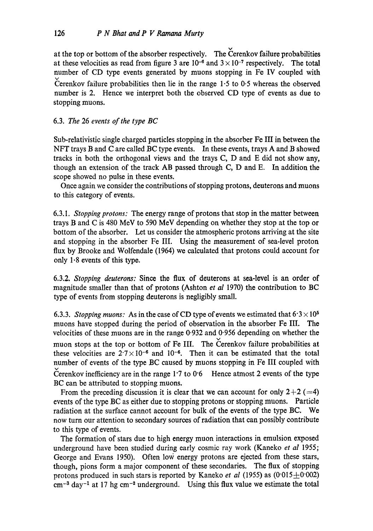at the top or bottom of the absorber respectively. The Cerenkov failure probabilities at these velocities as read from figure 3 are  $10^{-6}$  and  $3 \times 10^{-7}$  respectively. The total number of CD type events generated by muons stopping in Fe IV coupled with %/ Cerenkov failure probabilities then lie in the range 1.5 to 0.5 whereas the observed number is 2. Hence we interpret both the observed CD type of events as due to stopping muons.

# 6.3. *The* 26 *events of the type BC*

Sub-relativistic single charged particles stopping in the absorber Fe III in between the NFT trays B and C are called BC type events. In these events, trays A and B showed tracks in both the orthogonal views and the trays C, D and E did not show any, though an extension of the track AB passed through C, D and E. In addition the scope showed no pulse in these events.

Once again we consider the contributions of stopping protons, deuterons and muons to this category of events.

6.3.1. *Stopping protons:* The energy range of protons that stop in the matter between trays B and C is 480 MeV to 590 MeV depending on whether they stop at the top or bottom of the absorber. Let us consider the atmospheric protons arriving at the site and stopping in the absorber Fe III. Using the measurement of sea-level proton flux by Brooke and Wolfendale (1964) we calculated that protons could account for only 1.8 events of this type.

6.3.2. *Stopping deuterons:* Since the flux of deuterons at sea-level is an order of magnitude smaller than that of protons (Ashton *et al* 1970) the contribution to BC type of events from stopping deuterons is negligibly small.

6.3.3. *Stopping muons:* As in the case of CD type of events we estimated that  $6.3 \times 10^5$ muons have stopped during the period of observation in the absorber Fe III. The velocities of these muons are in the range 0.932 and 0.956 depending on whether the muon stops at the top or bottom of Fe III. The Cerenkov failure probabilities at these velocities are  $2.7 \times 10^{-6}$  and 10<sup>-6</sup>. Then it can be estimated that the total number of events of the type BC caused by muons stopping in Fe III coupled with Cerenkov inefficiency are in the range  $1.7$  to  $0.6$  Hence atmost 2 events of the type BC can be attributed to stopping muons.

From the preceding discussion it is clear that we can account for only  $2+2$  (=4) events of the type BC as either due to stopping protons or stopping muons. Particle radiation at the surface cannot account for bulk of the events of the type BC. We now turn our attention to secondary sources of radiation that can possibly contribute to this type of events.

The formation of stars due to high energy muon interactions in emulsion exposed underground have been studied during early cosmic ray work (Kaneko *et al* 1955; George and Evans 1950). Often low energy protons are ejected from these stars, though, pions form a major component of these secondaries. The flux of stopping protons produced in such stars is reported by Kaneko *et al* (1955) as  $(0.015 \pm 0.002)$  $cm<sup>-3</sup>$  day<sup>-1</sup> at 17 hg cm<sup>-2</sup> underground. Using this flux value we estimate the total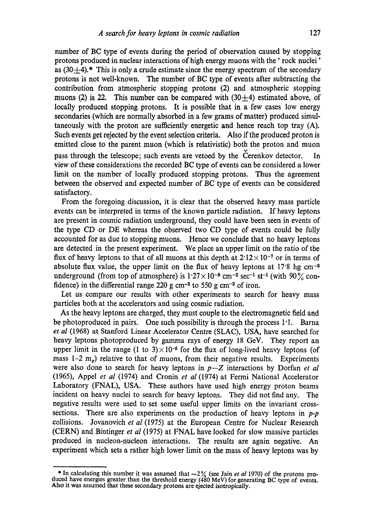number of BC type of events during the period of observation caused by stopping protons produced in nuclear interactions of high energy muons with the' rock nuclei' as  $(30+4)$ .\* This is only a crude estimate since the energy spectrum of the secondary protons is not well-known. The number of BC type of events after subtracting the contribution from atmospheric stopping protons (2) and atmospheric stopping muons (2) is 22. This number can be compared with  $(30+4)$  estimated above, of locally produced stopping protons. It is possible that in a few cases low energy secondaries (which are normally absorbed in a few grams of matter) produced simultaneously with the proton are sufficiently energetic and hence reach top tray (A). Such events get rejected by the event selection criteria. Also if the produced proton is emitted close to the parent muon (which is relativistic) both the proton and muon pass through the telescope; such events are vetoed by the Cerenkov detector. In view of these considerations the recorded BC type of events can be considered a lower limit on the number of locally produced stopping protons. Thus the agreement between the observed and expected number of BC type of events can be considered satisfactory.

From the foregoing discussion, it is clear that the observed heavy mass particle events can be interpreted in terms of the known particle radiation. If heavy leptons are present in cosmic radiation underground, they could have been seen in events of the type CD or DE whereas the observed two CD type of events could be fully accounted for as due to stopping muons. Hence we conclude that no heavy leptons are detected in the present experiment. We place an upper limit on the ratio of the flux of heavy leptons to that of all muons at this depth at  $2.12 \times 10^{-7}$  or in terms of absolute flux value, the upper limit on the flux of heavy leptons at  $17.8 \text{ hg cm}^{-2}$ underground (from top of atmosphere) is  $1.27 \times 10^{-9}$  cm<sup>-2</sup> sec<sup>-1</sup> st<sup>-1</sup> (with 90% confidence) in the differential range 220 g cm<sup>-2</sup> to 550 g cm<sup>-2</sup> of iron.

Let us compare our results with other experiments to search for heavy mass particles both at the accelerators and using cosmic radiation.

As the heavy leptons are charged, they must couple to the electromagnetic field and be photoproduced in pairs. One such possibility is through the process 1.1. Barna *et al* (1968) at Stanford Linear Accelerator Centre (SLAC), USA, have searched for heavy leptons photoproduced by gamma rays of energy 18 GeV. They report an upper limit in the range (1 to  $3 \times 10^{-6}$  for the flux of long-lived heavy leptons (of mass  $1-2$  m<sub>n</sub>) relative to that of muons, from their negative results. Experiments were also done to search for heavy leptons in *p--Z* interactions by Dorfan *et al*  (1965), Appel *et al* (1974) and Cronin *et al* (1974) at Fermi National Accelerator Laboratory (FNAL), USA. These authors have used high energy proton beams incident on heavy nuclei to search for heavy leptons. They did not find any. The negative results were used to set some useful upper limits on the invariant crosssections. There are also experiments on the production of heavy leptons in *p-p*  collisions. Jovanovich *et al* (1975) at the European Centre for Nuclear Research (CERN) and Bintinger *et al* (1975) at FNAL have looked for slow massive particles produced in nucleon-nucleon interactions. The results are again negative. An experiment which sets a rather high lower limit on the mass of heavy leptons was by

<sup>&</sup>lt;sup>\*</sup> In calculating this number it was assumed that  $\sim 2\%$  (see Jain *et al* 1970) of the protons pro-<br>duced have energies greater than the threshold energy (480 MeV) for generating BC type of events. Also it was assumed that these secondary protons are ejected isotropically.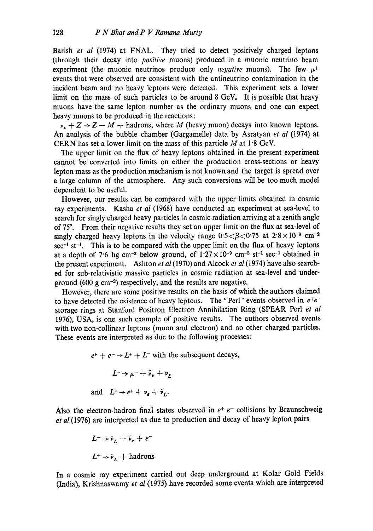Barish *et al* (1974) at FNAL. They tried to detect positively charged leptons (through their decay into *positive* muons) produced in a muonic neutrino beam experiment (the muonic neutrinos produce only *negative* muons). The few  $\mu^+$ events that were observed are consistent with the antineutrino contamination in the incident beam and no heavy leptons were detected. This experiment sets a lower limit on the mass of such particles to be around 8 GeV. It is possible that heavy muons have the same lepton number as the ordinary muons and one can expect heavy muons to be produced in the reactions:

 $\nu_{\bullet} + Z \rightarrow Z + M +$  hadrons, where M (heavy muon) decays into known leptons. An analysis of the bubble chamber (Gargamelle) data by Asratyan *et al* (1974) at CERN has set a lower limit on the mass of this particle  $M$  at 1.8 GeV.

The upper limit on the flux of heavy leptons obtained in the present experiment cannot be converted into limits on either the production cross-sections or heavy lepton mass as the production mechanism is not known and the target is spread over a large column of the atmosphere. Any such conversions will be too much model dependent to be useful.

However, our results can be compared with the upper limits obtained in cosmic ray experiments. Kasha *et al* (1968) have conducted an experiment at sea-level to search for singly charged heavy particles in cosmic radiation arriving at a zenith angle of 75°. From their negative results they set an upper limit on the flux at sea-level of singly charged heavy leptons in the velocity range  $0.5 < \beta < 0.75$  at  $2.8 \times 10^{-8}$  cm<sup>-2</sup>  $sec^{-1}$  st<sup>-1</sup>. This is to be compared with the upper limit on the flux of heavy leptons at a depth of 7.6 hg cm<sup>-2</sup> below ground, of  $1.27 \times 10^{-9}$  cm<sup>-2</sup> st<sup>-1</sup> sec<sup>-1</sup> obtained in the present experiment. Ashton *et al* (1970) and Alcock *et al* (1974) have also searched for sub-relativistic massive particles in cosmic radiation at sea-level and underground (600 g cm<sup>-2</sup>) respectively, and the results are negative.

However, there are some positive results on the basis of which the authors claimed to have detected the existence of heavy leptons. The 'Perl' events observed in  $e^+e^$ storage rings at Stanford Positron Electron Annihilation Ring (SPEAR Perl *et al*  1976), USA, is one such example of positive results. The authors observed events with two non-collinear leptons (muon and electron) and no other charged particles. These events are interpreted as due to the following processes:

> $e^+ + e^- \rightarrow L^+ + L^-$  with the subsequent decays,  $L \rightarrow \mu^- + \bar{\nu}_e + \nu_r$ and  $L^+ \rightarrow e^+ + \nu_e + \tilde{\nu}_L$ .

Also the electron-hadron final states observed in  $e^+e^-$  collisions by Braunschweig *et al* (1976) are interpreted as due to production and decay of heavy lepton pairs

$$
L^{-} \rightarrow \bar{\nu}_{L} + \bar{\nu}_{e} + e^{-}
$$
  

$$
L^{+} \rightarrow \bar{\nu}_{L} + \text{hadrons}
$$

In a cosmic ray experiment carried out deep underground at Kolar Gold Fields (India), Krishnaswamy *et al* (1975) have recorded some events which are interpreted